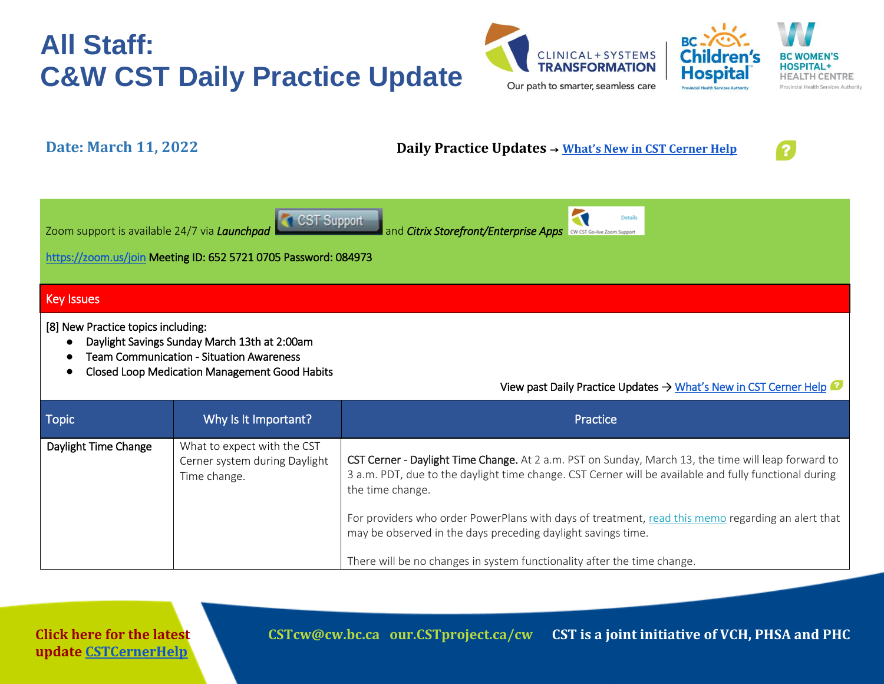



### **Date: March 11, 2022 Daily Practice Updates** → **[What's New in CST Cerner Help](http://cstcernerhelp.healthcarebc.ca/#t=Whats_New%2FWhat_s_New.htm&rhsearch=favourites%20printer&rhsyns=%20)**



| Netaile 1999 of the CST Support and Citrix Storefront/Enterprise Apps Contribution in the Control of the Technology of the Technology of the Technology of the Technology of the Technology of the Technology of the Technolog |  |  |  |
|--------------------------------------------------------------------------------------------------------------------------------------------------------------------------------------------------------------------------------|--|--|--|
|                                                                                                                                                                                                                                |  |  |  |

<https://zoom.us/join>Meeting ID: 652 5721 0705 Password: 084973

#### Key Issues

[8] New Practice topics including:

- Daylight Savings Sunday March 13th at 2:00am
- Team Communication Situation Awareness
- Closed Loop Medication Management Good Habits

View past Daily Practice Updates → What's New in CST Cerner Help

| <b>Topic</b>         | Why Is It Important?                                                         | <b>Practice</b>                                                                                                                                                                                                                              |
|----------------------|------------------------------------------------------------------------------|----------------------------------------------------------------------------------------------------------------------------------------------------------------------------------------------------------------------------------------------|
| Daylight Time Change | What to expect with the CST<br>Cerner system during Daylight<br>Time change. | CST Cerner - Daylight Time Change. At 2 a.m. PST on Sunday, March 13, the time will leap forward to<br>3 a.m. PDT, due to the daylight time change. CST Cerner will be available and fully functional during<br>the time change.             |
|                      |                                                                              | For providers who order PowerPlans with days of treatment, read this memo regarding an alert that<br>may be observed in the days preceding daylight savings time.<br>There will be no changes in system functionality after the time change. |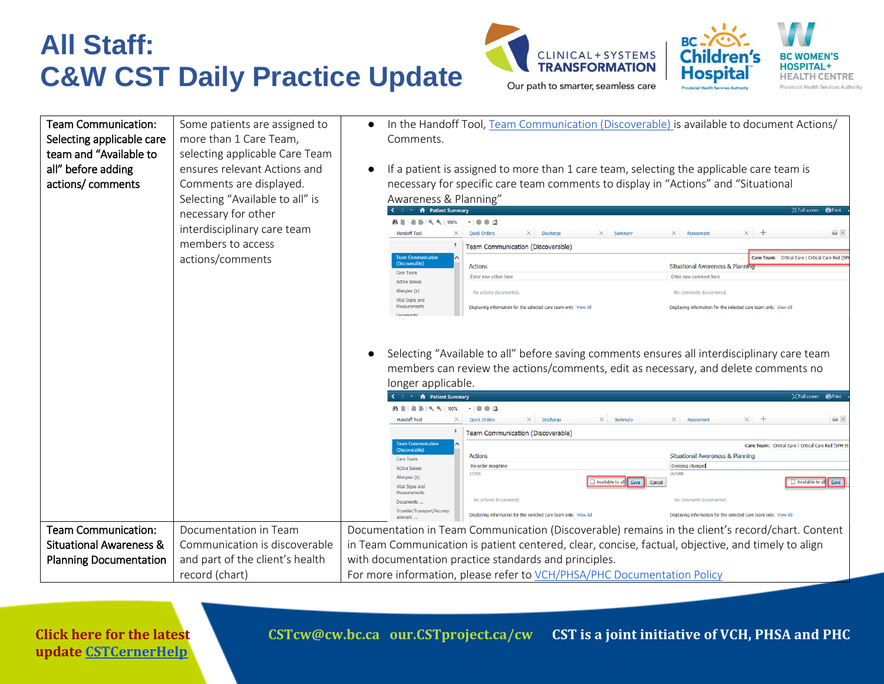





**Click here for the latest update [CSTCernerHelp](http://cstcernerhelp.healthcarebc.ca/#t=Whats_New%2FWhat_s_New.htm&rhsearch=favourites%20printer&rhsyns=%20)**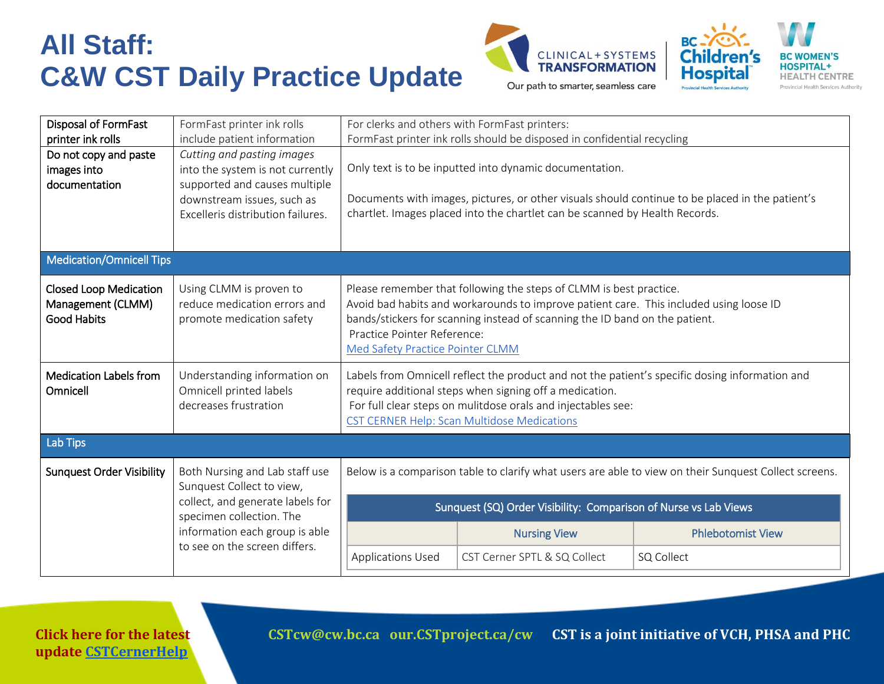



| Disposal of FormFast<br>printer ink rolls                                                       | FormFast printer ink rolls<br>include patient information                                                                                                          | For clerks and others with FormFast printers:<br>FormFast printer ink rolls should be disposed in confidential recycling                                                                                                                                                                                       |                                                                                                                                        |                                                                                                 |
|-------------------------------------------------------------------------------------------------|--------------------------------------------------------------------------------------------------------------------------------------------------------------------|----------------------------------------------------------------------------------------------------------------------------------------------------------------------------------------------------------------------------------------------------------------------------------------------------------------|----------------------------------------------------------------------------------------------------------------------------------------|-------------------------------------------------------------------------------------------------|
| Do not copy and paste<br>images into<br>documentation                                           | Cutting and pasting images<br>into the system is not currently<br>supported and causes multiple<br>downstream issues, such as<br>Excelleris distribution failures. |                                                                                                                                                                                                                                                                                                                | Only text is to be inputted into dynamic documentation.<br>chartlet. Images placed into the chartlet can be scanned by Health Records. | Documents with images, pictures, or other visuals should continue to be placed in the patient's |
| <b>Medication/Omnicell Tips</b>                                                                 |                                                                                                                                                                    |                                                                                                                                                                                                                                                                                                                |                                                                                                                                        |                                                                                                 |
| <b>Closed Loop Medication</b><br>Management (CLMM)<br><b>Good Habits</b>                        | Using CLMM is proven to<br>reduce medication errors and<br>promote medication safety                                                                               | Please remember that following the steps of CLMM is best practice.<br>Avoid bad habits and workarounds to improve patient care. This included using loose ID<br>bands/stickers for scanning instead of scanning the ID band on the patient.<br>Practice Pointer Reference:<br>Med Safety Practice Pointer CLMM |                                                                                                                                        |                                                                                                 |
| <b>Medication Labels from</b><br>Omnicell                                                       | Understanding information on<br>Omnicell printed labels<br>decreases frustration                                                                                   | Labels from Omnicell reflect the product and not the patient's specific dosing information and<br>require additional steps when signing off a medication.<br>For full clear steps on mulitdose orals and injectables see:<br><b>CST CERNER Help: Scan Multidose Medications</b>                                |                                                                                                                                        |                                                                                                 |
| Lab Tips                                                                                        |                                                                                                                                                                    |                                                                                                                                                                                                                                                                                                                |                                                                                                                                        |                                                                                                 |
| <b>Sunquest Order Visibility</b><br>Both Nursing and Lab staff use<br>Sunquest Collect to view, |                                                                                                                                                                    | Below is a comparison table to clarify what users are able to view on their Sunguest Collect screens.                                                                                                                                                                                                          |                                                                                                                                        |                                                                                                 |
|                                                                                                 | collect, and generate labels for<br>specimen collection. The                                                                                                       | Sunquest (SQ) Order Visibility: Comparison of Nurse vs Lab Views                                                                                                                                                                                                                                               |                                                                                                                                        |                                                                                                 |
|                                                                                                 | information each group is able<br>to see on the screen differs.                                                                                                    |                                                                                                                                                                                                                                                                                                                | <b>Nursing View</b>                                                                                                                    | <b>Phlebotomist View</b>                                                                        |
|                                                                                                 |                                                                                                                                                                    | <b>Applications Used</b>                                                                                                                                                                                                                                                                                       | CST Cerner SPTL & SQ Collect                                                                                                           | SQ Collect                                                                                      |

**Click here for the latest update [CSTCernerHelp](http://cstcernerhelp.healthcarebc.ca/#t=Whats_New%2FWhat_s_New.htm&rhsearch=favourites%20printer&rhsyns=%20)**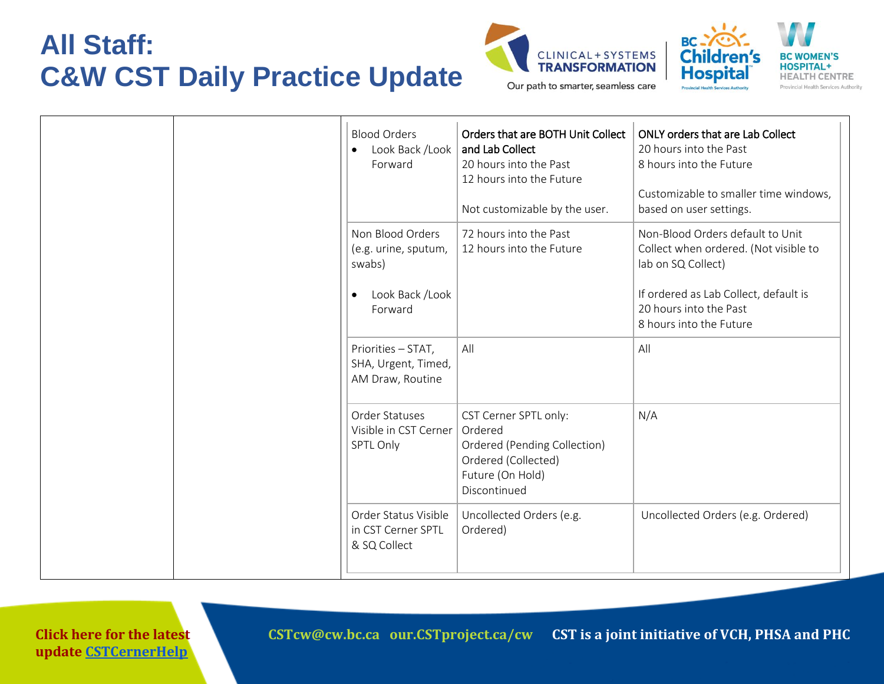



Our path to smarter, seamless care

| <b>Blood Orders</b><br>Look Back /Look<br>Forward                                | Orders that are BOTH Unit Collect<br>and Lab Collect<br>20 hours into the Past<br>12 hours into the Future<br>Not customizable by the user. | <b>ONLY orders that are Lab Collect</b><br>20 hours into the Past<br>8 hours into the Future<br>Customizable to smaller time windows,<br>based on user settings.                              |
|----------------------------------------------------------------------------------|---------------------------------------------------------------------------------------------------------------------------------------------|-----------------------------------------------------------------------------------------------------------------------------------------------------------------------------------------------|
| Non Blood Orders<br>(e.g. urine, sputum,<br>swabs)<br>Look Back /Look<br>Forward | 72 hours into the Past<br>12 hours into the Future                                                                                          | Non-Blood Orders default to Unit<br>Collect when ordered. (Not visible to<br>lab on SQ Collect)<br>If ordered as Lab Collect, default is<br>20 hours into the Past<br>8 hours into the Future |
| Priorities - STAT,<br>SHA, Urgent, Timed,<br>AM Draw, Routine                    | All                                                                                                                                         | All                                                                                                                                                                                           |
| Order Statuses<br>Visible in CST Cerner<br>SPTL Only                             | CST Cerner SPTL only:<br>Ordered<br>Ordered (Pending Collection)<br>Ordered (Collected)<br>Future (On Hold)<br>Discontinued                 | N/A                                                                                                                                                                                           |
| Order Status Visible<br>in CST Cerner SPTL<br>& SQ Collect                       | Uncollected Orders (e.g.<br>Ordered)                                                                                                        | Uncollected Orders (e.g. Ordered)                                                                                                                                                             |